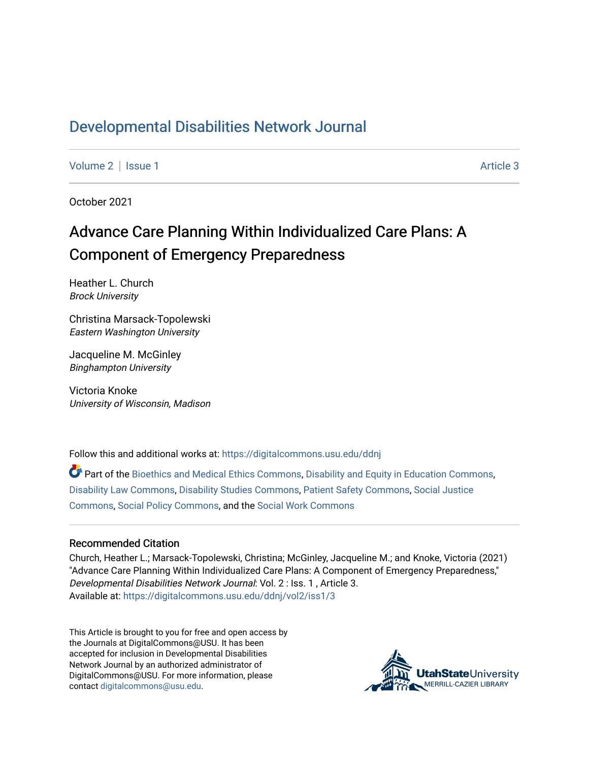## [Developmental Disabilities Network Journal](https://digitalcommons.usu.edu/ddnj)

[Volume 2](https://digitalcommons.usu.edu/ddnj/vol2) | [Issue 1](https://digitalcommons.usu.edu/ddnj/vol2/iss1) Article 3

October 2021

# Advance Care Planning Within Individualized Care Plans: A Component of Emergency Preparedness

Heather L. Church Brock University

Christina Marsack-Topolewski Eastern Washington University

Jacqueline M. McGinley Binghampton University

Victoria Knoke University of Wisconsin, Madison

Follow this and additional works at: [https://digitalcommons.usu.edu/ddnj](https://digitalcommons.usu.edu/ddnj?utm_source=digitalcommons.usu.edu%2Fddnj%2Fvol2%2Fiss1%2F3&utm_medium=PDF&utm_campaign=PDFCoverPages) 

 $\bullet$  Part of the [Bioethics and Medical Ethics Commons,](http://network.bepress.com/hgg/discipline/650?utm_source=digitalcommons.usu.edu%2Fddnj%2Fvol2%2Fiss1%2F3&utm_medium=PDF&utm_campaign=PDFCoverPages) [Disability and Equity in Education Commons](http://network.bepress.com/hgg/discipline/1040?utm_source=digitalcommons.usu.edu%2Fddnj%2Fvol2%2Fiss1%2F3&utm_medium=PDF&utm_campaign=PDFCoverPages), [Disability Law Commons,](http://network.bepress.com/hgg/discipline/1074?utm_source=digitalcommons.usu.edu%2Fddnj%2Fvol2%2Fiss1%2F3&utm_medium=PDF&utm_campaign=PDFCoverPages) [Disability Studies Commons](http://network.bepress.com/hgg/discipline/1417?utm_source=digitalcommons.usu.edu%2Fddnj%2Fvol2%2Fiss1%2F3&utm_medium=PDF&utm_campaign=PDFCoverPages), [Patient Safety Commons](http://network.bepress.com/hgg/discipline/1410?utm_source=digitalcommons.usu.edu%2Fddnj%2Fvol2%2Fiss1%2F3&utm_medium=PDF&utm_campaign=PDFCoverPages), [Social Justice](http://network.bepress.com/hgg/discipline/1432?utm_source=digitalcommons.usu.edu%2Fddnj%2Fvol2%2Fiss1%2F3&utm_medium=PDF&utm_campaign=PDFCoverPages)  [Commons](http://network.bepress.com/hgg/discipline/1432?utm_source=digitalcommons.usu.edu%2Fddnj%2Fvol2%2Fiss1%2F3&utm_medium=PDF&utm_campaign=PDFCoverPages), [Social Policy Commons,](http://network.bepress.com/hgg/discipline/1030?utm_source=digitalcommons.usu.edu%2Fddnj%2Fvol2%2Fiss1%2F3&utm_medium=PDF&utm_campaign=PDFCoverPages) and the [Social Work Commons](http://network.bepress.com/hgg/discipline/713?utm_source=digitalcommons.usu.edu%2Fddnj%2Fvol2%2Fiss1%2F3&utm_medium=PDF&utm_campaign=PDFCoverPages) 

#### Recommended Citation

Church, Heather L.; Marsack-Topolewski, Christina; McGinley, Jacqueline M.; and Knoke, Victoria (2021) "Advance Care Planning Within Individualized Care Plans: A Component of Emergency Preparedness," Developmental Disabilities Network Journal: Vol. 2 : Iss. 1 , Article 3. Available at: [https://digitalcommons.usu.edu/ddnj/vol2/iss1/3](https://digitalcommons.usu.edu/ddnj/vol2/iss1/3?utm_source=digitalcommons.usu.edu%2Fddnj%2Fvol2%2Fiss1%2F3&utm_medium=PDF&utm_campaign=PDFCoverPages) 

This Article is brought to you for free and open access by the Journals at DigitalCommons@USU. It has been accepted for inclusion in Developmental Disabilities Network Journal by an authorized administrator of DigitalCommons@USU. For more information, please contact [digitalcommons@usu.edu](mailto:digitalcommons@usu.edu).

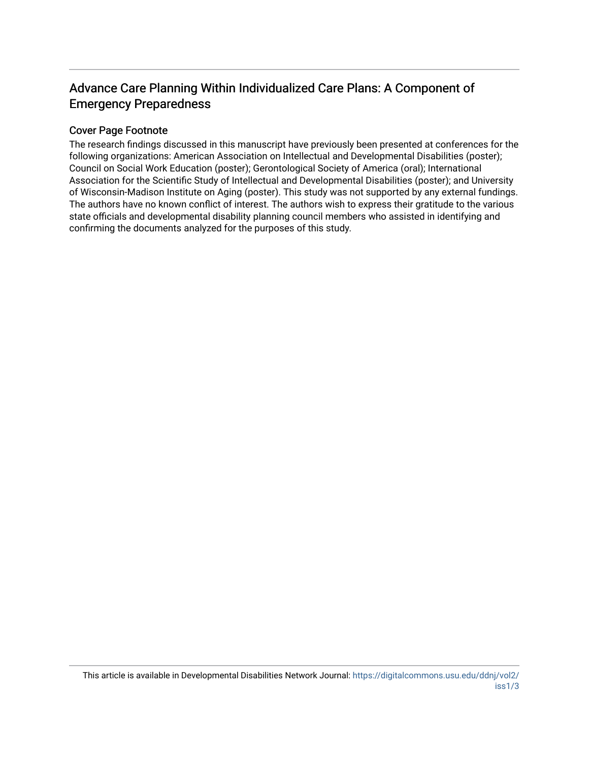## Advance Care Planning Within Individualized Care Plans: A Component of Emergency Preparedness

## Cover Page Footnote

The research findings discussed in this manuscript have previously been presented at conferences for the following organizations: American Association on Intellectual and Developmental Disabilities (poster); Council on Social Work Education (poster); Gerontological Society of America (oral); International Association for the Scientific Study of Intellectual and Developmental Disabilities (poster); and University of Wisconsin-Madison Institute on Aging (poster). This study was not supported by any external fundings. The authors have no known conflict of interest. The authors wish to express their gratitude to the various state officials and developmental disability planning council members who assisted in identifying and confirming the documents analyzed for the purposes of this study.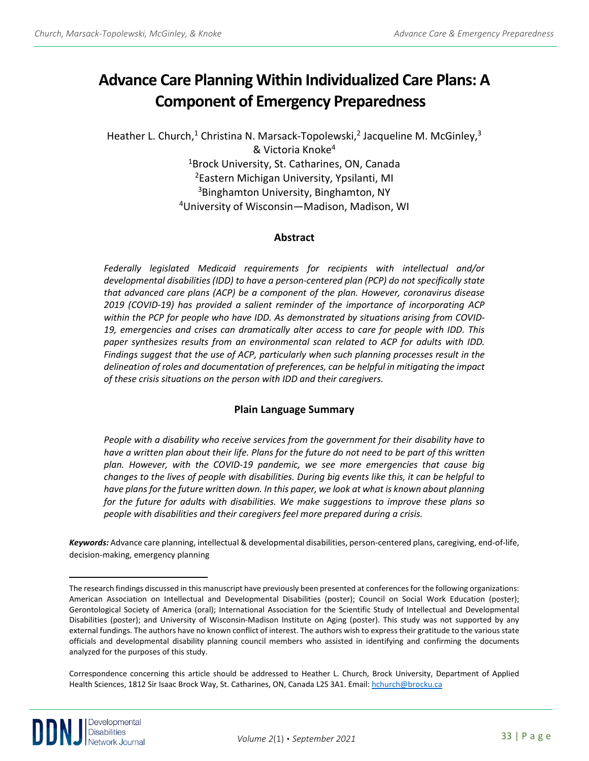# **Advance Care Planning Within Individualized Care Plans: A Component of Emergency Preparedness [a](#page-2-0)**

Heather L. Church,<sup>1</sup> Christina N. Marsack-Topolewski,<sup>2</sup> Jacqueline M. McGinley,<sup>3</sup> & Victoria Knoke4 1Brock University, St. Catharines, ON, Canada 2Eastern Michigan University, Ypsilanti, MI <sup>3</sup>Binghamton University, Binghamton, NY 4University of Wisconsin—Madison, Madison, WI

## **Abstract**

*Federally legislated Medicaid requirements for recipients with intellectual and/or developmental disabilities (IDD) to have a person-centered plan (PCP) do not specifically state that advanced care plans (ACP) be a component of the plan. However, coronavirus disease 2019 (COVID-19) has provided a salient reminder of the importance of incorporating ACP within the PCP for people who have IDD. As demonstrated by situations arising from COVID-19, emergencies and crises can dramatically alter access to care for people with IDD. This*  paper synthesizes results from an environmental scan related to ACP for adults with IDD. *Findings suggest that the use of ACP, particularly when such planning processes result in the delineation of roles and documentation of preferences, can be helpful in mitigating the impact of these crisis situations on the person with IDD and their caregivers.*

## **Plain Language Summary**

*People with a disability who receive services from the government for their disability have to have a written plan about their life. Plans for the future do not need to be part of this written plan. However, with the COVID-19 pandemic, we see more emergencies that cause big changes to the lives of people with disabilities. During big events like this, it can be helpful to have plans for the future written down. In this paper, we look at what is known about planning for the future for adults with disabilities. We make suggestions to improve these plans so people with disabilities and their caregivers feel more prepared during a crisis.*

*Keywords:* Advance care planning, intellectual & developmental disabilities, person-centered plans, caregiving, end-of-life, decision-making, emergency planning

<span id="page-2-0"></span>The research findings discussed in this manuscript have previously been presented at conferences for the following organizations: American Association on Intellectual and Developmental Disabilities (poster); Council on Social Work Education (poster); Gerontological Society of America (oral); International Association for the Scientific Study of Intellectual and Developmental Disabilities (poster); and University of Wisconsin-Madison Institute on Aging (poster). This study was not supported by any external fundings. The authors have no known conflict of interest. The authors wish to express their gratitude to the various state officials and developmental disability planning council members who assisted in identifying and confirming the documents analyzed for the purposes of this study.

Correspondence concerning this article should be addressed to Heather L. Church, Brock University, Department of Applied Health Sciences, 1812 Sir Isaac Brock Way, St. Catharines, ON, Canada L2S 3A1. Email: [hchurch@brocku.ca](mailto:hchurch@brocku.ca)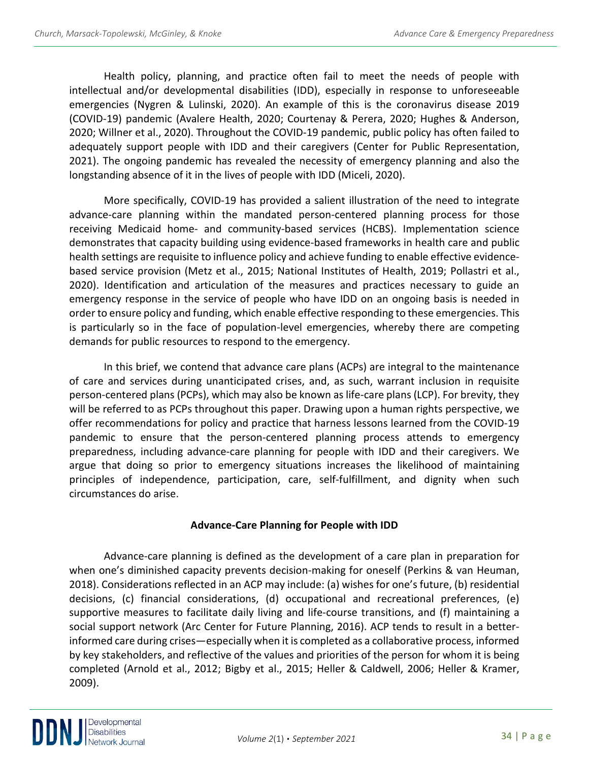Health policy, planning, and practice often fail to meet the needs of people with intellectual and/or developmental disabilities (IDD), especially in response to unforeseeable emergencies (Nygren & Lulinski, 2020). An example of this is the coronavirus disease 2019 (COVID-19) pandemic (Avalere Health, 2020; Courtenay & Perera, 2020; Hughes & Anderson, 2020; Willner et al., 2020). Throughout the COVID-19 pandemic, public policy has often failed to adequately support people with IDD and their caregivers (Center for Public Representation, 2021). The ongoing pandemic has revealed the necessity of emergency planning and also the longstanding absence of it in the lives of people with IDD (Miceli, 2020).

More specifically, COVID-19 has provided a salient illustration of the need to integrate advance-care planning within the mandated person-centered planning process for those receiving Medicaid home- and community-based services (HCBS). Implementation science demonstrates that capacity building using evidence-based frameworks in health care and public health settings are requisite to influence policy and achieve funding to enable effective evidencebased service provision (Metz et al., 2015; National Institutes of Health, 2019; Pollastri et al., 2020). Identification and articulation of the measures and practices necessary to guide an emergency response in the service of people who have IDD on an ongoing basis is needed in order to ensure policy and funding, which enable effective responding to these emergencies. This is particularly so in the face of population-level emergencies, whereby there are competing demands for public resources to respond to the emergency.

In this brief, we contend that advance care plans (ACPs) are integral to the maintenance of care and services during unanticipated crises, and, as such, warrant inclusion in requisite person-centered plans (PCPs), which may also be known as life-care plans (LCP). For brevity, they will be referred to as PCPs throughout this paper. Drawing upon a human rights perspective, we offer recommendations for policy and practice that harness lessons learned from the COVID-19 pandemic to ensure that the person-centered planning process attends to emergency preparedness, including advance-care planning for people with IDD and their caregivers. We argue that doing so prior to emergency situations increases the likelihood of maintaining principles of independence, participation, care, self-fulfillment, and dignity when such circumstances do arise.

## **Advance-Care Planning for People with IDD**

Advance-care planning is defined as the development of a care plan in preparation for when one's diminished capacity prevents decision-making for oneself (Perkins & van Heuman, 2018). Considerations reflected in an ACP may include: (a) wishes for one's future, (b) residential decisions, (c) financial considerations, (d) occupational and recreational preferences, (e) supportive measures to facilitate daily living and life-course transitions, and (f) maintaining a social support network (Arc Center for Future Planning, 2016). ACP tends to result in a betterinformed care during crises—especially when it is completed as a collaborative process, informed by key stakeholders, and reflective of the values and priorities of the person for whom it is being completed (Arnold et al., 2012; Bigby et al., 2015; Heller & Caldwell, 2006; Heller & Kramer, 2009).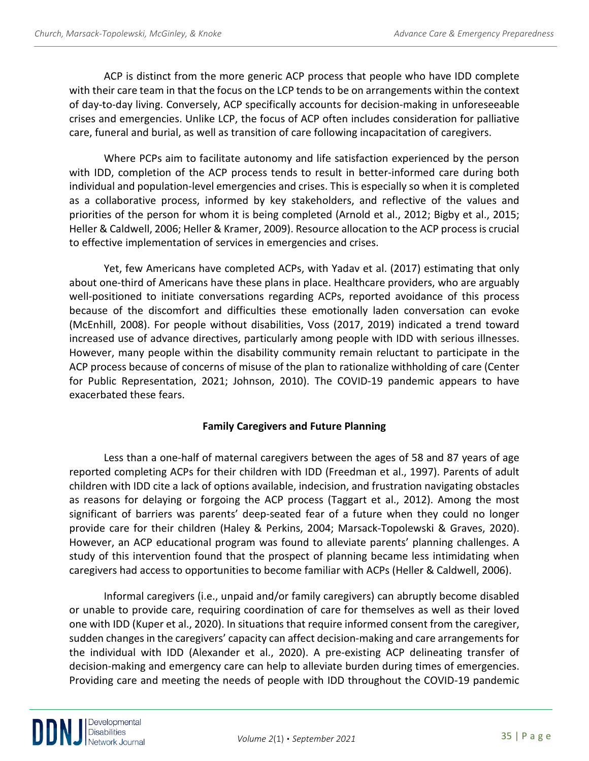ACP is distinct from the more generic ACP process that people who have IDD complete with their care team in that the focus on the LCP tends to be on arrangements within the context of day-to-day living. Conversely, ACP specifically accounts for decision-making in unforeseeable crises and emergencies. Unlike LCP, the focus of ACP often includes consideration for palliative care, funeral and burial, as well as transition of care following incapacitation of caregivers.

Where PCPs aim to facilitate autonomy and life satisfaction experienced by the person with IDD, completion of the ACP process tends to result in better-informed care during both individual and population-level emergencies and crises. This is especially so when it is completed as a collaborative process, informed by key stakeholders, and reflective of the values and priorities of the person for whom it is being completed (Arnold et al., 2012; Bigby et al., 2015; Heller & Caldwell, 2006; Heller & Kramer, 2009). Resource allocation to the ACP process is crucial to effective implementation of services in emergencies and crises.

Yet, few Americans have completed ACPs, with Yadav et al. (2017) estimating that only about one-third of Americans have these plans in place. Healthcare providers, who are arguably well-positioned to initiate conversations regarding ACPs, reported avoidance of this process because of the discomfort and difficulties these emotionally laden conversation can evoke (McEnhill, 2008). For people without disabilities, Voss (2017, 2019) indicated a trend toward increased use of advance directives, particularly among people with IDD with serious illnesses. However, many people within the disability community remain reluctant to participate in the ACP process because of concerns of misuse of the plan to rationalize withholding of care (Center for Public Representation, 2021; Johnson, 2010). The COVID-19 pandemic appears to have exacerbated these fears.

## **Family Caregivers and Future Planning**

Less than a one-half of maternal caregivers between the ages of 58 and 87 years of age reported completing ACPs for their children with IDD (Freedman et al., 1997). Parents of adult children with IDD cite a lack of options available, indecision, and frustration navigating obstacles as reasons for delaying or forgoing the ACP process (Taggart et al., 2012). Among the most significant of barriers was parents' deep-seated fear of a future when they could no longer provide care for their children (Haley & Perkins, 2004; Marsack-Topolewski & Graves, 2020). However, an ACP educational program was found to alleviate parents' planning challenges. A study of this intervention found that the prospect of planning became less intimidating when caregivers had access to opportunities to become familiar with ACPs (Heller & Caldwell, 2006).

Informal caregivers (i.e., unpaid and/or family caregivers) can abruptly become disabled or unable to provide care, requiring coordination of care for themselves as well as their loved one with IDD (Kuper et al., 2020). In situations that require informed consent from the caregiver, sudden changes in the caregivers' capacity can affect decision-making and care arrangements for the individual with IDD (Alexander et al., 2020). A pre-existing ACP delineating transfer of decision-making and emergency care can help to alleviate burden during times of emergencies. Providing care and meeting the needs of people with IDD throughout the COVID-19 pandemic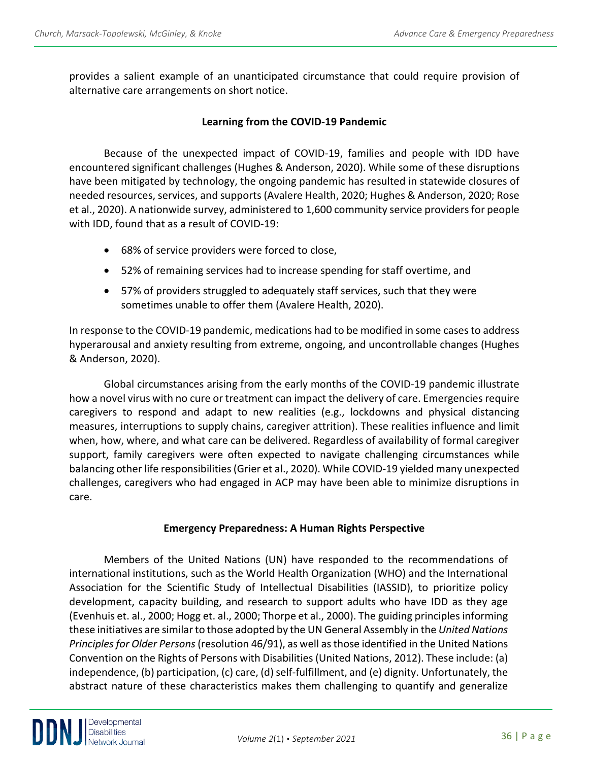provides a salient example of an unanticipated circumstance that could require provision of alternative care arrangements on short notice.

## **Learning from the COVID-19 Pandemic**

Because of the unexpected impact of COVID-19, families and people with IDD have encountered significant challenges (Hughes & Anderson, 2020). While some of these disruptions have been mitigated by technology, the ongoing pandemic has resulted in statewide closures of needed resources, services, and supports (Avalere Health, 2020; Hughes & Anderson, 2020; Rose et al., 2020). A nationwide survey, administered to 1,600 community service providers for people with IDD, found that as a result of COVID-19:

- 68% of service providers were forced to close,
- 52% of remaining services had to increase spending for staff overtime, and
- 57% of providers struggled to adequately staff services, such that they were sometimes unable to offer them (Avalere Health, 2020).

In response to the COVID-19 pandemic, medications had to be modified in some cases to address hyperarousal and anxiety resulting from extreme, ongoing, and uncontrollable changes (Hughes & Anderson, 2020).

Global circumstances arising from the early months of the COVID-19 pandemic illustrate how a novel virus with no cure or treatment can impact the delivery of care. Emergencies require caregivers to respond and adapt to new realities (e.g., lockdowns and physical distancing measures, interruptions to supply chains, caregiver attrition). These realities influence and limit when, how, where, and what care can be delivered. Regardless of availability of formal caregiver support, family caregivers were often expected to navigate challenging circumstances while balancing other life responsibilities (Grier et al., 2020). While COVID-19 yielded many unexpected challenges, caregivers who had engaged in ACP may have been able to minimize disruptions in care.

## **Emergency Preparedness: A Human Rights Perspective**

Members of the United Nations (UN) have responded to the recommendations of international institutions, such as the World Health Organization (WHO) and the International Association for the Scientific Study of Intellectual Disabilities (IASSID), to prioritize policy development, capacity building, and research to support adults who have IDD as they age (Evenhuis et. al., 2000; Hogg et. al., 2000; Thorpe et al., 2000). The guiding principles informing these initiatives are similar to those adopted by the UN General Assembly in the *United Nations Principles for Older Persons* (resolution 46/91), as well as those identified in the United Nations Convention on the Rights of Persons with Disabilities (United Nations, 2012). These include: (a) independence, (b) participation, (c) care, (d) self-fulfillment, and (e) dignity. Unfortunately, the abstract nature of these characteristics makes them challenging to quantify and generalize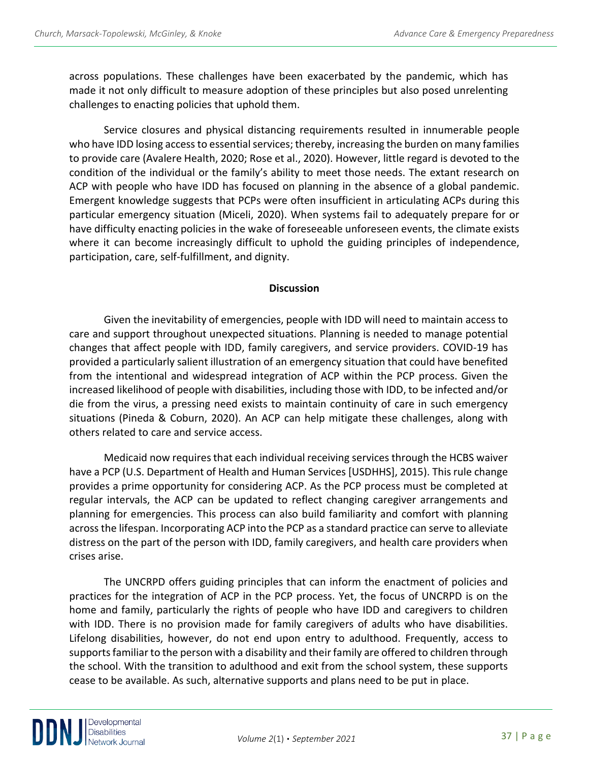across populations. These challenges have been exacerbated by the pandemic, which has made it not only difficult to measure adoption of these principles but also posed unrelenting challenges to enacting policies that uphold them.

Service closures and physical distancing requirements resulted in innumerable people who have IDD losing access to essential services; thereby, increasing the burden on many families to provide care (Avalere Health, 2020; Rose et al., 2020). However, little regard is devoted to the condition of the individual or the family's ability to meet those needs. The extant research on ACP with people who have IDD has focused on planning in the absence of a global pandemic. Emergent knowledge suggests that PCPs were often insufficient in articulating ACPs during this particular emergency situation (Miceli, 2020). When systems fail to adequately prepare for or have difficulty enacting policies in the wake of foreseeable unforeseen events, the climate exists where it can become increasingly difficult to uphold the guiding principles of independence, participation, care, self-fulfillment, and dignity.

## **Discussion**

Given the inevitability of emergencies, people with IDD will need to maintain access to care and support throughout unexpected situations. Planning is needed to manage potential changes that affect people with IDD, family caregivers, and service providers. COVID-19 has provided a particularly salient illustration of an emergency situation that could have benefited from the intentional and widespread integration of ACP within the PCP process. Given the increased likelihood of people with disabilities, including those with IDD, to be infected and/or die from the virus, a pressing need exists to maintain continuity of care in such emergency situations (Pineda & Coburn, 2020). An ACP can help mitigate these challenges, along with others related to care and service access.

Medicaid now requires that each individual receiving services through the HCBS waiver have a PCP (U.S. Department of Health and Human Services [USDHHS], 2015). This rule change provides a prime opportunity for considering ACP. As the PCP process must be completed at regular intervals, the ACP can be updated to reflect changing caregiver arrangements and planning for emergencies. This process can also build familiarity and comfort with planning across the lifespan. Incorporating ACP into the PCP as a standard practice can serve to alleviate distress on the part of the person with IDD, family caregivers, and health care providers when crises arise.

The UNCRPD offers guiding principles that can inform the enactment of policies and practices for the integration of ACP in the PCP process. Yet, the focus of UNCRPD is on the home and family, particularly the rights of people who have IDD and caregivers to children with IDD. There is no provision made for family caregivers of adults who have disabilities. Lifelong disabilities, however, do not end upon entry to adulthood. Frequently, access to supports familiar to the person with a disability and their family are offered to children through the school. With the transition to adulthood and exit from the school system, these supports cease to be available. As such, alternative supports and plans need to be put in place.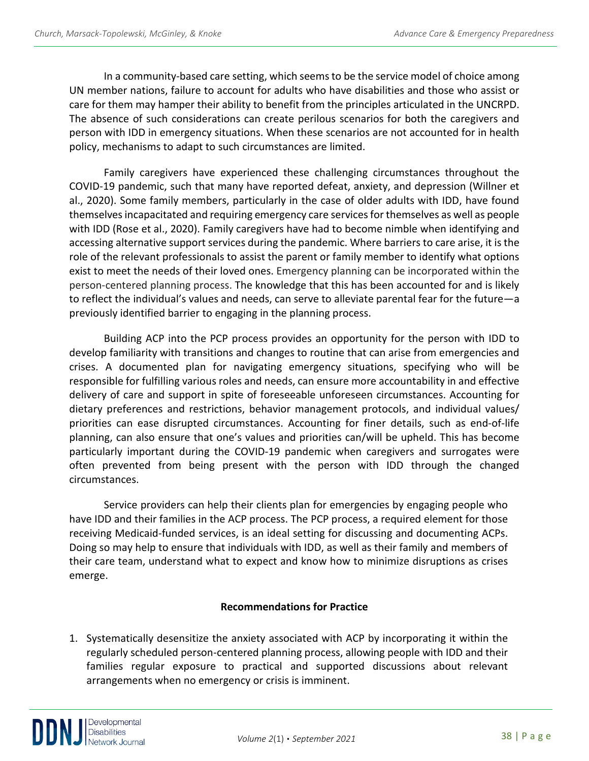In a community-based care setting, which seems to be the service model of choice among UN member nations, failure to account for adults who have disabilities and those who assist or care for them may hamper their ability to benefit from the principles articulated in the UNCRPD. The absence of such considerations can create perilous scenarios for both the caregivers and person with IDD in emergency situations. When these scenarios are not accounted for in health policy, mechanisms to adapt to such circumstances are limited.

Family caregivers have experienced these challenging circumstances throughout the COVID-19 pandemic, such that many have reported defeat, anxiety, and depression (Willner et al., 2020). Some family members, particularly in the case of older adults with IDD, have found themselves incapacitated and requiring emergency care services for themselves as well as people with IDD (Rose et al., 2020). Family caregivers have had to become nimble when identifying and accessing alternative support services during the pandemic. Where barriers to care arise, it is the role of the relevant professionals to assist the parent or family member to identify what options exist to meet the needs of their loved ones. Emergency planning can be incorporated within the person-centered planning process. The knowledge that this has been accounted for and is likely to reflect the individual's values and needs, can serve to alleviate parental fear for the future—a previously identified barrier to engaging in the planning process.

Building ACP into the PCP process provides an opportunity for the person with IDD to develop familiarity with transitions and changes to routine that can arise from emergencies and crises. A documented plan for navigating emergency situations, specifying who will be responsible for fulfilling various roles and needs, can ensure more accountability in and effective delivery of care and support in spite of foreseeable unforeseen circumstances. Accounting for dietary preferences and restrictions, behavior management protocols, and individual values/ priorities can ease disrupted circumstances. Accounting for finer details, such as end-of-life planning, can also ensure that one's values and priorities can/will be upheld. This has become particularly important during the COVID-19 pandemic when caregivers and surrogates were often prevented from being present with the person with IDD through the changed circumstances.

Service providers can help their clients plan for emergencies by engaging people who have IDD and their families in the ACP process. The PCP process, a required element for those receiving Medicaid-funded services, is an ideal setting for discussing and documenting ACPs. Doing so may help to ensure that individuals with IDD, as well as their family and members of their care team, understand what to expect and know how to minimize disruptions as crises emerge.

## **Recommendations for Practice**

1. Systematically desensitize the anxiety associated with ACP by incorporating it within the regularly scheduled person-centered planning process, allowing people with IDD and their families regular exposure to practical and supported discussions about relevant arrangements when no emergency or crisis is imminent.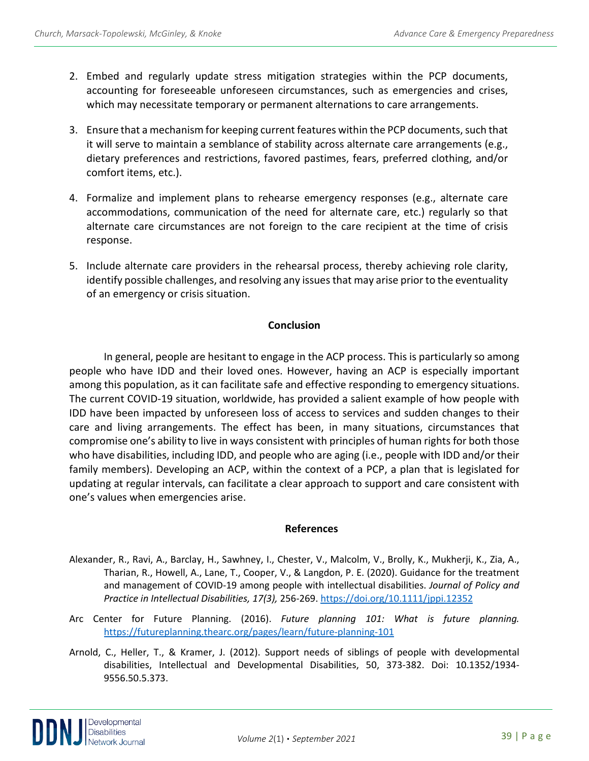- 2. Embed and regularly update stress mitigation strategies within the PCP documents, accounting for foreseeable unforeseen circumstances, such as emergencies and crises, which may necessitate temporary or permanent alternations to care arrangements.
- 3. Ensure that a mechanism for keeping current features within the PCP documents, such that it will serve to maintain a semblance of stability across alternate care arrangements (e.g., dietary preferences and restrictions, favored pastimes, fears, preferred clothing, and/or comfort items, etc.).
- 4. Formalize and implement plans to rehearse emergency responses (e.g., alternate care accommodations, communication of the need for alternate care, etc.) regularly so that alternate care circumstances are not foreign to the care recipient at the time of crisis response.
- 5. Include alternate care providers in the rehearsal process, thereby achieving role clarity, identify possible challenges, and resolving any issues that may arise prior to the eventuality of an emergency or crisis situation.

## **Conclusion**

In general, people are hesitant to engage in the ACP process. This is particularly so among people who have IDD and their loved ones. However, having an ACP is especially important among this population, as it can facilitate safe and effective responding to emergency situations. The current COVID-19 situation, worldwide, has provided a salient example of how people with IDD have been impacted by unforeseen loss of access to services and sudden changes to their care and living arrangements. The effect has been, in many situations, circumstances that compromise one's ability to live in ways consistent with principles of human rights for both those who have disabilities, including IDD, and people who are aging (i.e., people with IDD and/or their family members). Developing an ACP, within the context of a PCP, a plan that is legislated for updating at regular intervals, can facilitate a clear approach to support and care consistent with one's values when emergencies arise.

## **References**

- Alexander, R., Ravi, A., Barclay, H., Sawhney, I., Chester, V., Malcolm, V., Brolly, K., Mukherji, K., Zia, A., Tharian, R., Howell, A., Lane, T., Cooper, V., & Langdon, P. E. (2020). Guidance for the treatment and management of COVID-19 among people with intellectual disabilities. *Journal of Policy and Practice in Intellectual Disabilities, 17(3),* 256-269.<https://doi.org/10.1111/jppi.12352>
- Arc Center for Future Planning. (2016). *Future planning 101: What is future planning.*  <https://futureplanning.thearc.org/pages/learn/future-planning-101>
- Arnold, C., Heller, T., & Kramer, J. (2012). Support needs of siblings of people with developmental disabilities, Intellectual and Developmental Disabilities, 50, 373-382. Doi: 10.1352/1934- 9556.50.5.373.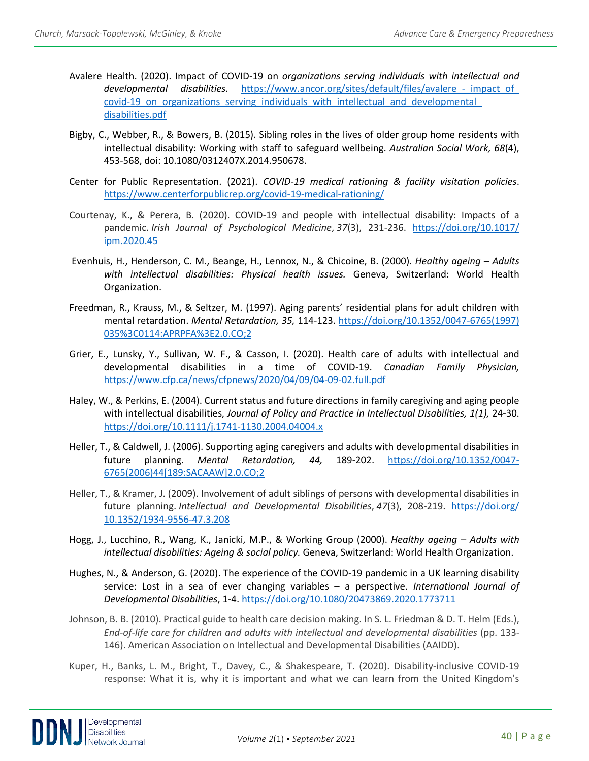- Avalere Health. (2020). Impact of COVID-19 on *organizations serving individuals with intellectual and*  developmental disabilities. https://www.ancor.org/sites/default/files/avalere - impact\_of covid-19 on organizations serving individuals with intellectual and developmental [disabilities.pdf](https://www.ancor.org/sites/default/files/avalere_-_impact_of_%20covid-19_on_organizations_serving_individuals_with_intellectual_and_developmental_%20disabilities.pdf)
- Bigby, C., Webber, R., & Bowers, B. (2015). Sibling roles in the lives of older group home residents with intellectual disability: Working with staff to safeguard wellbeing. *Australian Social Work, 68*(4), 453-568, doi: 10.1080/0312407X.2014.950678.
- Center for Public Representation. (2021). *COVID-19 medical rationing & facility visitation policies*. <https://www.centerforpublicrep.org/covid-19-medical-rationing/>
- Courtenay, K., & Perera, B. (2020). COVID-19 and people with intellectual disability: Impacts of a pandemic. *Irish Journal of Psychological Medicine*, *37*(3), 231-236. [https://doi.org/10.1017/](https://doi.org/10.1017/%20ipm.2020.45)  [ipm.2020.45](https://doi.org/10.1017/%20ipm.2020.45)
- Evenhuis, H., Henderson, C. M., Beange, H., Lennox, N., & Chicoine, B. (2000). *Healthy ageing – Adults with intellectual disabilities: Physical health issues.* Geneva, Switzerland: World Health Organization.
- Freedman, R., Krauss, M., & Seltzer, M. (1997). Aging parents' residential plans for adult children with mental retardation. *Mental Retardation, 35,* 114-123. [https://doi.org/10.1352/0047-6765\(1997\)](https://doi.org/10.1352/0047-6765(1997)%20035%3C0114:APRPFA%3E2.0.CO;2)  [035%3C0114:APRPFA%3E2.0.CO;2](https://doi.org/10.1352/0047-6765(1997)%20035%3C0114:APRPFA%3E2.0.CO;2)
- Grier, E., Lunsky, Y., Sullivan, W. F., & Casson, I. (2020). Health care of adults with intellectual and developmental disabilities in a time of COVID-19. *Canadian Family Physician,*  <https://www.cfp.ca/news/cfpnews/2020/04/09/04-09-02.full.pdf>
- Haley, W., & Perkins, E. (2004). Current status and future directions in family caregiving and aging people with intellectual disabilities, *Journal of Policy and Practice in Intellectual Disabilities, 1(1),* 24-30. <https://doi.org/10.1111/j.1741-1130.2004.04004.x>
- Heller, T., & Caldwell, J. (2006). Supporting aging caregivers and adults with developmental disabilities in future planning. *Mental Retardation, 44,* 189-202. [https://doi.org/10.1352/0047-](https://doi.org/10.1352/0047-6765(2006)44%5b189:SACAAW%5d2.0.CO;2) [6765\(2006\)44\[189:SACAAW\]2.0.CO;2](https://doi.org/10.1352/0047-6765(2006)44%5b189:SACAAW%5d2.0.CO;2)
- Heller, T., & Kramer, J. (2009). Involvement of adult siblings of persons with developmental disabilities in future planning. *Intellectual and Developmental Disabilities*, *47*(3), 208-219. [https://doi.org/](https://doi.org/%2010.1352/1934-9556-47.3.208)  [10.1352/1934-9556-47.3.208](https://doi.org/%2010.1352/1934-9556-47.3.208)
- Hogg, J., Lucchino, R., Wang, K., Janicki, M.P., & Working Group (2000). *Healthy ageing – Adults with intellectual disabilities: Ageing & social policy.* Geneva, Switzerland: World Health Organization.
- Hughes, N., & Anderson, G. (2020). The experience of the COVID-19 pandemic in a UK learning disability service: Lost in a sea of ever changing variables – a perspective. *International Journal of Developmental Disabilities*, 1-4. <https://doi.org/10.1080/20473869.2020.1773711>
- Johnson, B. B. (2010). Practical guide to health care decision making. In S. L. Friedman & D. T. Helm (Eds.), *End-of-life care for children and adults with intellectual and developmental disabilities* (pp. 133- 146). American Association on Intellectual and Developmental Disabilities (AAIDD).
- Kuper, H., Banks, L. M., Bright, T., Davey, C., & Shakespeare, T. (2020). Disability-inclusive COVID-19 response: What it is, why it is important and what we can learn from the United Kingdom's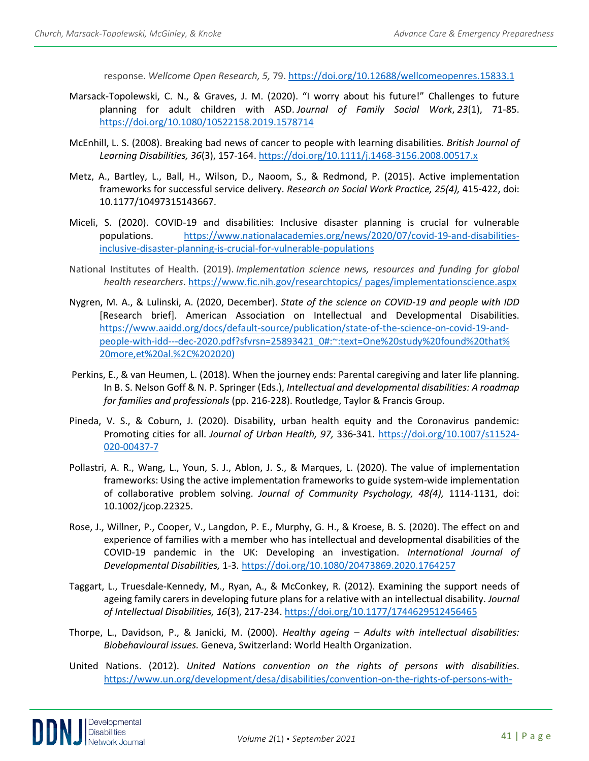response. *Wellcome Open Research, 5,* 79.<https://doi.org/10.12688/wellcomeopenres.15833.1>

- Marsack-Topolewski, C. N., & Graves, J. M. (2020). "I worry about his future!" Challenges to future planning for adult children with ASD. *Journal of Family Social Work*, *23*(1), 71-85. <https://doi.org/10.1080/10522158.2019.1578714>
- McEnhill, L. S. (2008). Breaking bad news of cancer to people with learning disabilities. *British Journal of Learning Disabilities, 36*(3), 157-164.<https://doi.org/10.1111/j.1468-3156.2008.00517.x>
- Metz, A., Bartley, L., Ball, H., Wilson, D., Naoom, S., & Redmond, P. (2015). Active implementation frameworks for successful service delivery. *Research on Social Work Practice, 25(4),* 415-422, doi: 10.1177/10497315143667.
- Miceli, S. (2020). COVID-19 and disabilities: Inclusive disaster planning is crucial for vulnerable populations. [https://www.nationalacademies.org/news/2020/07/covid-19-and-disabilities](https://www.nationalacademies.org/news/2020/07/covid-19-and-disabilities-inclusive-disaster-planning-is-crucial-for-vulnerable-populations)[inclusive-disaster-planning-is-crucial-for-vulnerable-populations](https://www.nationalacademies.org/news/2020/07/covid-19-and-disabilities-inclusive-disaster-planning-is-crucial-for-vulnerable-populations)
- National Institutes of Health. (2019). *Implementation science news, resources and funding for global health researchers*[. https://www.fic.nih.gov/researchtopics/ pages/implementationscience.aspx](https://www.fic.nih.gov/researchtopics/%20pages/implementationscience.aspx)
- Nygren, M. A., & Lulinski, A. (2020, December). *State of the science on COVID-19 and people with IDD* [Research brief]. American Association on Intellectual and Developmental Disabilities. [https://www.aaidd.org/docs/default-source/publication/state-of-the-science-on-covid-19-and](https://www.aaidd.org/docs/default-source/publication/state-of-the-science-on-covid-19-and-people-with-idd---dec-2020.pdf?sfvrsn=25893421_0#:%7E:text=One%20study%20found%20that%25%2020more,et%20al.%2C%202020))[people-with-idd---dec-2020.pdf?sfvrsn=25893421\\_0#:~:text=One%20study%20found%20that%](https://www.aaidd.org/docs/default-source/publication/state-of-the-science-on-covid-19-and-people-with-idd---dec-2020.pdf?sfvrsn=25893421_0#:%7E:text=One%20study%20found%20that%25%2020more,et%20al.%2C%202020))  [20more,et%20al.%2C%202020\)](https://www.aaidd.org/docs/default-source/publication/state-of-the-science-on-covid-19-and-people-with-idd---dec-2020.pdf?sfvrsn=25893421_0#:%7E:text=One%20study%20found%20that%25%2020more,et%20al.%2C%202020))
- Perkins, E., & van Heumen, L. (2018). When the journey ends: Parental caregiving and later life planning. In B. S. Nelson Goff & N. P. Springer (Eds.), *Intellectual and developmental disabilities: A roadmap for families and professionals* (pp. 216-228). Routledge, Taylor & Francis Group.
- Pineda, V. S., & Coburn, J. (2020). Disability, urban health equity and the Coronavirus pandemic: Promoting cities for all. *Journal of Urban Health, 97,* 336-341. [https://doi.org/10.1007/s11524-](https://doi.org/10.1007/s11524-020-00437-7) [020-00437-7](https://doi.org/10.1007/s11524-020-00437-7)
- Pollastri, A. R., Wang, L., Youn, S. J., Ablon, J. S., & Marques, L. (2020). The value of implementation frameworks: Using the active implementation frameworks to guide system-wide implementation of collaborative problem solving. *Journal of Community Psychology, 48(4),* 1114-1131, doi: 10.1002/jcop.22325.
- Rose, J., Willner, P., Cooper, V., Langdon, P. E., Murphy, G. H., & Kroese, B. S. (2020). The effect on and experience of families with a member who has intellectual and developmental disabilities of the COVID-19 pandemic in the UK: Developing an investigation. *International Journal of Developmental Disabilities,* 1-3*.* <https://doi.org/10.1080/20473869.2020.1764257>
- Taggart, L., Truesdale-Kennedy, M., Ryan, A., & McConkey, R. (2012). Examining the support needs of ageing family carers in developing future plans for a relative with an intellectual disability. *Journal of Intellectual Disabilities, 16*(3), 217-234.<https://doi.org/10.1177/1744629512456465>
- Thorpe, L., Davidson, P., & Janicki, M. (2000). *Healthy ageing – Adults with intellectual disabilities: Biobehavioural issues.* Geneva, Switzerland: World Health Organization.
- United Nations. (2012). *United Nations convention on the rights of persons with disabilities*. [https://www.un.org/development/desa/disabilities/convention-on-the-rights-of-persons-with-](https://www.un.org/development/desa/disabilities/convention-on-the-rights-of-persons-with-disabilities/convention-on-the-rights-of-persons-with-disabilities-2.html)